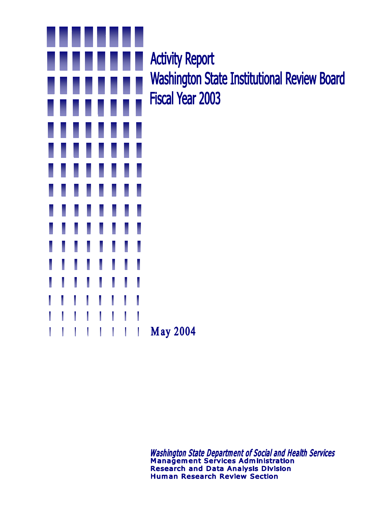

**Activity Report Washington State Institutional Review Board Fiscal Year 2003** 

Washington State Department of Social and Health Services<br>Management Services Administration **Research and Data Analysis Division Human Research Review Section**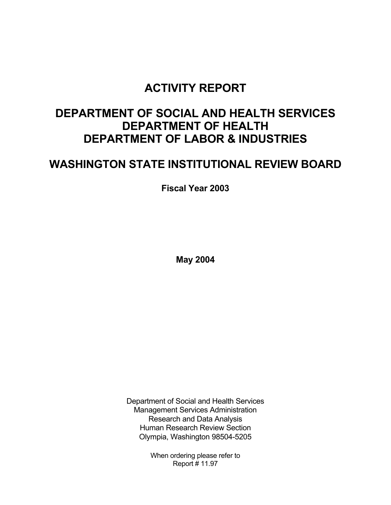# **ACTIVITY REPORT**

# **DEPARTMENT OF SOCIAL AND HEALTH SERVICES DEPARTMENT OF HEALTH DEPARTMENT OF LABOR & INDUSTRIES**

# **WASHINGTON STATE INSTITUTIONAL REVIEW BOARD**

 **Fiscal Year 2003** 

 **May 2004** 

Department of Social and Health Services Management Services Administration Research and Data Analysis Human Research Review Section Olympia, Washington 98504-5205

> When ordering please refer to Report # 11.97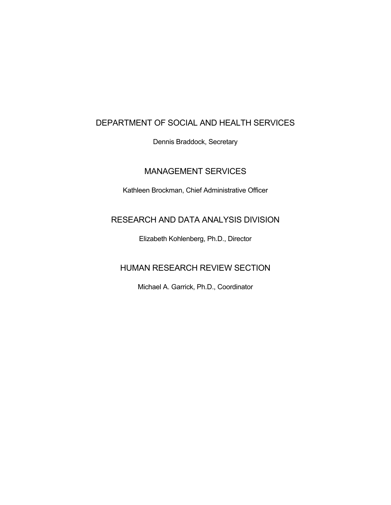### DEPARTMENT OF SOCIAL AND HEALTH SERVICES

Dennis Braddock, Secretary

## MANAGEMENT SERVICES

Kathleen Brockman, Chief Administrative Officer

## RESEARCH AND DATA ANALYSIS DIVISION

Elizabeth Kohlenberg, Ph.D., Director

## HUMAN RESEARCH REVIEW SECTION

Michael A. Garrick, Ph.D., Coordinator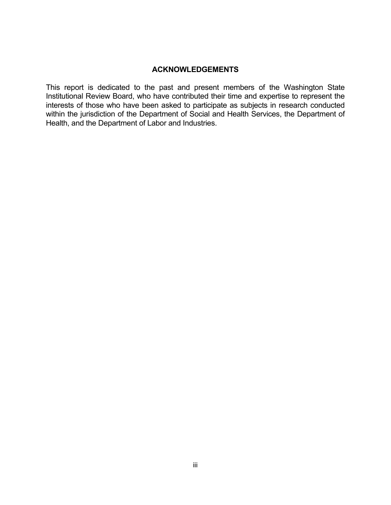#### **ACKNOWLEDGEMENTS**

This report is dedicated to the past and present members of the Washington State Institutional Review Board, who have contributed their time and expertise to represent the interests of those who have been asked to participate as subjects in research conducted within the jurisdiction of the Department of Social and Health Services, the Department of Health, and the Department of Labor and Industries.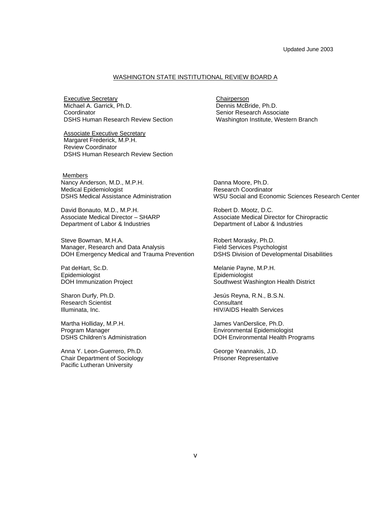#### WASHINGTON STATE INSTITUTIONAL REVIEW BOARD A

Executive Secretary **Chairperson** Michael A. Garrick, Ph.D. **Coordinator** DSHS Human Research Review Section

Associate Executive Secretary Margaret Frederick, M.P.H. Review Coordinator DSHS Human Research Review Section Dennis McBride, Ph.D. Senior Research Associate Washington Institute, Western Branch

**Members** 

Nancy Anderson, M.D., M.P.H. Medical Epidemiologist DSHS Medical Assistance Administration

David Bonauto, M.D., M.P.H. Associate Medical Director – SHARP Department of Labor & Industries

Steve Bowman, M.H.A. Manager, Research and Data Analysis DOH Emergency Medical and Trauma Prevention

Pat deHart, Sc.D. Epidemiologist DOH Immunization Project

Sharon Durfy, Ph.D. Research Scientist Illuminata, Inc.

Martha Holliday, M.P.H. Program Manager DSHS Children's Administration

Anna Y. Leon-Guerrero, Ph.D. Chair Department of Sociology Pacific Lutheran University

Danna Moore, Ph.D. Research Coordinator WSU Social and Economic Sciences Research Center

Robert D. Mootz, D.C. Associate Medical Director for Chiropractic Department of Labor & Industries

Robert Morasky, Ph.D. Field Services Psychologist DSHS Division of Developmental Disabilities

Melanie Payne, M.P.H. Epidemiologist Southwest Washington Health District

Jesús Reyna, R.N., B.S.N. **Consultant** HIV/AIDS Health Services

James VanDerslice, Ph.D. Environmental Epidemiologist DOH Environmental Health Programs

George Yeannakis, J.D. Prisoner Representative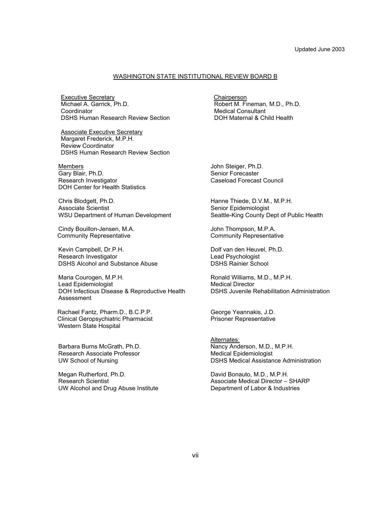#### WASHINGTON STATE INSTITUTIONAL REVIEW BOARD B

**Executive Secretary Chairperson** Michael A. Garrick, Ph.D. **Coordinator** DSHS Human Research Review Section

Associate Executive Secretary Margaret Frederick, M.P.H. Review Coordinator DSHS Human Research Review Section

Members Gary Blair, Ph.D. Research Investigator DOH Center for Health Statistics

Chris Blodgett, Ph.D. Associate Scientist WSU Department of Human Development

Cindy Bouillon-Jensen, M.A. Community Representative

Kevin Campbell, Dr.P.H. Research Investigator DSHS Alcohol and Substance Abuse

Maria Courogen, M.P.H. Lead Epidemiologist DOH Infectious Disease & Reproductive Health Assessment

Rachael Fantz, Pharm.D., B.C.P.P. Clinical Geropsychiatric Pharmacist Western State Hospital

Barbara Burns McGrath, Ph.D. Research Associate Professor UW School of Nursing

Megan Rutherford, Ph.D. Research Scientist UW Alcohol and Drug Abuse Institute Robert M. Fineman, M.D., Ph.D. Medical Consultant DOH Maternal & Child Health

John Steiger, Ph.D. Senior Forecaster Caseload Forecast Council

Hanne Thiede, D.V.M., M.P.H. Senior Epidemiologist Seattle-King County Dept of Public Health

John Thompson, M.P.A. Community Representative

Dolf van den Heuvel, Ph.D. Lead Psychologist DSHS Rainier School

Ronald Williams, M.D., M.P.H. Medical Director DSHS Juvenile Rehabilitation Administration

George Yeannakis, J.D. Prisoner Representative

Alternates: Nancy Anderson, M.D., M.P.H. Medical Epidemiologist DSHS Medical Assistance Administration

David Bonauto, M.D., M.P.H. Associate Medical Director – SHARP Department of Labor & Industries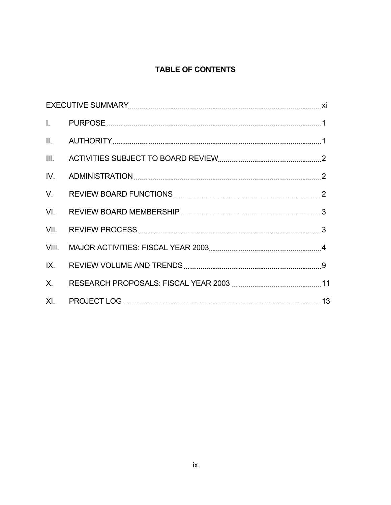# **TABLE OF CONTENTS**

| III. |  |
|------|--|
| IV.  |  |
| V.   |  |
| VI.  |  |
|      |  |
|      |  |
| IX.  |  |
| X.   |  |
|      |  |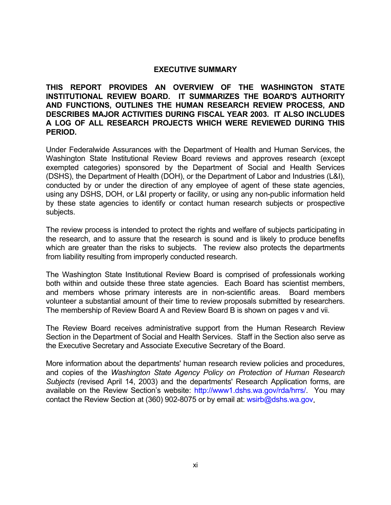#### **EXECUTIVE SUMMARY**

**THIS REPORT PROVIDES AN OVERVIEW OF THE WASHINGTON STATE INSTITUTIONAL REVIEW BOARD. IT SUMMARIZES THE BOARD'S AUTHORITY AND FUNCTIONS, OUTLINES THE HUMAN RESEARCH REVIEW PROCESS, AND DESCRIBES MAJOR ACTIVITIES DURING FISCAL YEAR 2003. IT ALSO INCLUDES A LOG OF ALL RESEARCH PROJECTS WHICH WERE REVIEWED DURING THIS PERIOD.**

Under Federalwide Assurances with the Department of Health and Human Services, the Washington State Institutional Review Board reviews and approves research (except exempted categories) sponsored by the Department of Social and Health Services (DSHS), the Department of Health (DOH), or the Department of Labor and Industries (L&I), conducted by or under the direction of any employee of agent of these state agencies, using any DSHS, DOH, or L&I property or facility, or using any non-public information held by these state agencies to identify or contact human research subjects or prospective subjects.

The review process is intended to protect the rights and welfare of subjects participating in the research, and to assure that the research is sound and is likely to produce benefits which are greater than the risks to subjects. The review also protects the departments from liability resulting from improperly conducted research.

The Washington State Institutional Review Board is comprised of professionals working both within and outside these three state agencies. Each Board has scientist members, and members whose primary interests are in non-scientific areas. Board members volunteer a substantial amount of their time to review proposals submitted by researchers. The membership of Review Board A and Review Board B is shown on pages v and vii.

The Review Board receives administrative support from the Human Research Review Section in the Department of Social and Health Services. Staff in the Section also serve as the Executive Secretary and Associate Executive Secretary of the Board.

More information about the departments' human research review policies and procedures, and copies of the *Washington State Agency Policy on Protection of Human Research Subjects* (revised April 14, 2003) and the departments' Research Application forms, are available on the Review Section's website: http://www1.dshs.wa.gov/rda/hrrs/. You may contact the Review Section at (360) 902-8075 or by email at: wsirb@dshs.wa.gov.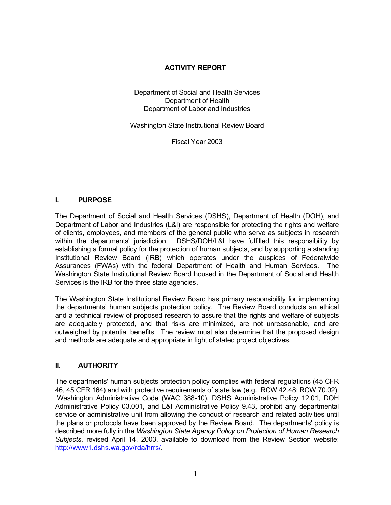#### **ACTIVITY REPORT**

Department of Social and Health Services Department of Health Department of Labor and Industries

Washington State Institutional Review Board

Fiscal Year 2003

#### **I. PURPOSE**

The Department of Social and Health Services (DSHS), Department of Health (DOH), and Department of Labor and Industries (L&I) are responsible for protecting the rights and welfare of clients, employees, and members of the general public who serve as subjects in research within the departments' jurisdiction. DSHS/DOH/L&I have fulfilled this responsibility by establishing a formal policy for the protection of human subjects, and by supporting a standing Institutional Review Board (IRB) which operates under the auspices of Federalwide Assurances (FWAs) with the federal Department of Health and Human Services. The Washington State Institutional Review Board housed in the Department of Social and Health Services is the IRB for the three state agencies.

The Washington State Institutional Review Board has primary responsibility for implementing the departments' human subjects protection policy. The Review Board conducts an ethical and a technical review of proposed research to assure that the rights and welfare of subjects are adequately protected, and that risks are minimized, are not unreasonable, and are outweighed by potential benefits. The review must also determine that the proposed design and methods are adequate and appropriate in light of stated project objectives.

#### **II. AUTHORITY**

The departments' human subjects protection policy complies with federal regulations (45 CFR 46, 45 CFR 164) and with protective requirements of state law (e.g., RCW 42.48; RCW 70.02). Washington Administrative Code (WAC 388-10), DSHS Administrative Policy 12.01, DOH Administrative Policy 03.001, and L&I Administrative Policy 9.43, prohibit any departmental service or administrative unit from allowing the conduct of research and related activities until the plans or protocols have been approved by the Review Board. The departments' policy is described more fully in the *Washington State Agency Policy on Protection of Human Research Subjects*, revised April 14, 2003, available to download from the Review Section website: [http://www1.dshs.wa.gov/rda/hrrs/.](http://www1.dshs.wa.gov/rda/hrrs/)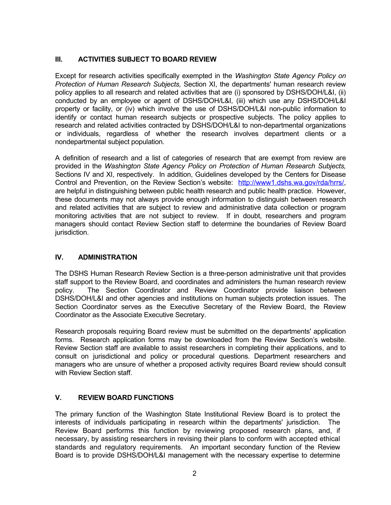### **III. ACTIVITIES SUBJECT TO BOARD REVIEW**

Except for research activities specifically exempted in the *Washington State Agency Policy on Protection of Human Research Subjects,* Section XI, the departments' human research review policy applies to all research and related activities that are (i) sponsored by DSHS/DOH/L&I, (ii) conducted by an employee or agent of DSHS/DOH/L&I, (iii) which use any DSHS/DOH/L&I property or facility, or (iv) which involve the use of DSHS/DOH/L&I non-public information to identify or contact human research subjects or prospective subjects. The policy applies to research and related activities contracted by DSHS/DOH/L&I to non-departmental organizations or individuals, regardless of whether the research involves department clients or a nondepartmental subject population.

A definition of research and a list of categories of research that are exempt from review are provided in the *Washington State Agency Policy on Protection of Human Research Subjects,* Sections IV and XI, respectively. In addition, Guidelines developed by the Centers for Disease Control and Prevention, on the Review Section's website: http://www1.dshs.wa.gov/rda/hrrs/, are helpful in distinguishing between public health research and public health practice. However, these documents may not always provide enough information to distinguish between research and related activities that are subject to review and administrative data collection or program monitoring activities that are not subject to review. If in doubt, researchers and program managers should contact Review Section staff to determine the boundaries of Review Board jurisdiction.

### **IV. ADMINISTRATION**

The DSHS Human Research Review Section is a three-person administrative unit that provides staff support to the Review Board, and coordinates and administers the human research review policy. The Section Coordinator and Review Coordinator provide liaison between DSHS/DOH/L&I and other agencies and institutions on human subjects protection issues. The Section Coordinator serves as the Executive Secretary of the Review Board, the Review Coordinator as the Associate Executive Secretary.

Research proposals requiring Board review must be submitted on the departments' application forms. Research application forms may be downloaded from the Review Section's website. Review Section staff are available to assist researchers in completing their applications, and to consult on jurisdictional and policy or procedural questions. Department researchers and managers who are unsure of whether a proposed activity requires Board review should consult with Review Section staff.

### **V. REVIEW BOARD FUNCTIONS**

The primary function of the Washington State Institutional Review Board is to protect the interests of individuals participating in research within the departments' jurisdiction. The Review Board performs this function by reviewing proposed research plans, and, if necessary, by assisting researchers in revising their plans to conform with accepted ethical standards and regulatory requirements. An important secondary function of the Review Board is to provide DSHS/DOH/L&I management with the necessary expertise to determine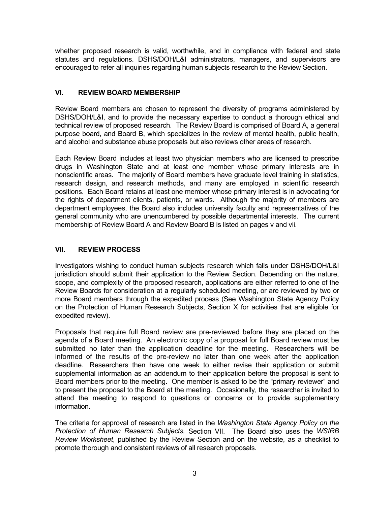whether proposed research is valid, worthwhile, and in compliance with federal and state statutes and regulations. DSHS/DOH/L&I administrators, managers, and supervisors are encouraged to refer all inquiries regarding human subjects research to the Review Section.

#### **VI. REVIEW BOARD MEMBERSHIP**

Review Board members are chosen to represent the diversity of programs administered by DSHS/DOH/L&I, and to provide the necessary expertise to conduct a thorough ethical and technical review of proposed research. The Review Board is comprised of Board A, a general purpose board, and Board B, which specializes in the review of mental health, public health, and alcohol and substance abuse proposals but also reviews other areas of research.

Each Review Board includes at least two physician members who are licensed to prescribe drugs in Washington State and at least one member whose primary interests are in nonscientific areas. The majority of Board members have graduate level training in statistics, research design, and research methods, and many are employed in scientific research positions. Each Board retains at least one member whose primary interest is in advocating for the rights of department clients, patients, or wards. Although the majority of members are department employees, the Board also includes university faculty and representatives of the general community who are unencumbered by possible departmental interests. The current membership of Review Board A and Review Board B is listed on pages v and vii.

#### **VII. REVIEW PROCESS**

Investigators wishing to conduct human subjects research which falls under DSHS/DOH/L&I jurisdiction should submit their application to the Review Section. Depending on the nature, scope, and complexity of the proposed research, applications are either referred to one of the Review Boards for consideration at a regularly scheduled meeting, or are reviewed by two or more Board members through the expedited process (See Washington State Agency Policy on the Protection of Human Research Subjects, Section X for activities that are eligible for expedited review).

Proposals that require full Board review are pre-reviewed before they are placed on the agenda of a Board meeting. An electronic copy of a proposal for full Board review must be submitted no later than the application deadline for the meeting. Researchers will be informed of the results of the pre-review no later than one week after the application deadline. Researchers then have one week to either revise their application or submit supplemental information as an addendum to their application before the proposal is sent to Board members prior to the meeting. One member is asked to be the "primary reviewer" and to present the proposal to the Board at the meeting. Occasionally, the researcher is invited to attend the meeting to respond to questions or concerns or to provide supplementary information.

The criteria for approval of research are listed in the *Washington State Agency Policy on the Protection of Human Research Subjects,* Section VII. The Board also uses the *WSIRB Review Worksheet*, published by the Review Section and on the website, as a checklist to promote thorough and consistent reviews of all research proposals.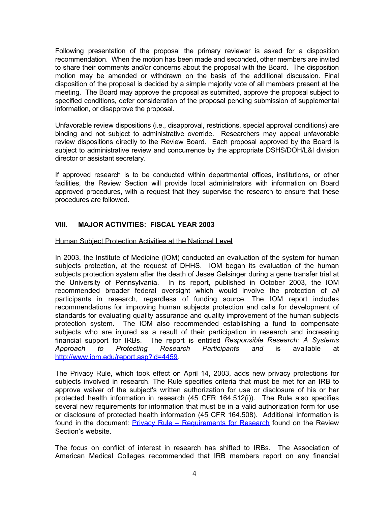Following presentation of the proposal the primary reviewer is asked for a disposition recommendation. When the motion has been made and seconded, other members are invited to share their comments and/or concerns about the proposal with the Board. The disposition motion may be amended or withdrawn on the basis of the additional discussion. Final disposition of the proposal is decided by a simple majority vote of all members present at the meeting. The Board may approve the proposal as submitted, approve the proposal subject to specified conditions, defer consideration of the proposal pending submission of supplemental information, or disapprove the proposal.

Unfavorable review dispositions (i.e., disapproval, restrictions, special approval conditions) are binding and not subject to administrative override. Researchers may appeal unfavorable review dispositions directly to the Review Board. Each proposal approved by the Board is subject to administrative review and concurrence by the appropriate DSHS/DOH/L&I division director or assistant secretary.

If approved research is to be conducted within departmental offices, institutions, or other facilities, the Review Section will provide local administrators with information on Board approved procedures, with a request that they supervise the research to ensure that these procedures are followed.

#### **VIII. MAJOR ACTIVITIES: FISCAL YEAR 2003**

#### Human Subject Protection Activities at the National Level

In 2003, the Institute of Medicine (IOM) conducted an evaluation of the system for human subjects protection, at the request of DHHS. IOM began its evaluation of the human subjects protection system after the death of Jesse Gelsinger during a gene transfer trial at the University of Pennsylvania. In its report, published in October 2003, the IOM recommended broader federal oversight which would involve the protection of *all* participants in research, regardless of funding source. The IOM report includes recommendations for improving human subjects protection and calls for development of standards for evaluating quality assurance and quality improvement of the human subjects protection system. The IOM also recommended establishing a fund to compensate subjects who are injured as a result of their participation in research and increasing financial support for IRBs. The report is entitled *Responsible Research: A Systems Approach to Protecting Research Participants and* is available at [http://www.iom.edu/report.asp?id=4459.](http://www.iom.edu/report.asp?id=4459)

The Privacy Rule, which took effect on April 14, 2003, adds new privacy protections for subjects involved in research. The Rule specifies criteria that must be met for an IRB to approve waiver of the subject's written authorization for use or disclosure of his or her protected health information in research (45 CFR 164.512(i)). The Rule also specifies several new requirements for information that must be in a valid authorization form for use or disclosure of protected health information (45 CFR 164.508). Additional information is found in the document: **Privacy Rule – Requirements for Research** found on the Review Section's website.

The focus on conflict of interest in research has shifted to IRBs. The Association of American Medical Colleges recommended that IRB members report on any financial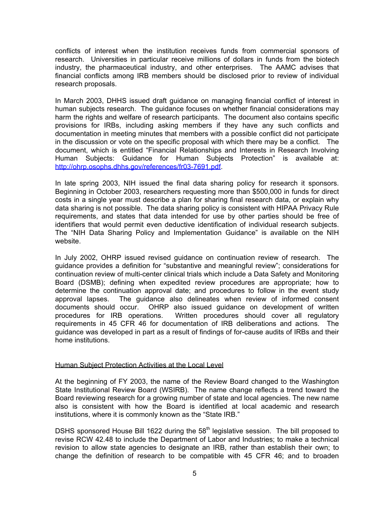conflicts of interest when the institution receives funds from commercial sponsors of research. Universities in particular receive millions of dollars in funds from the biotech industry, the pharmaceutical industry, and other enterprises. The AAMC advises that financial conflicts among IRB members should be disclosed prior to review of individual research proposals.

In March 2003, DHHS issued draft guidance on managing financial conflict of interest in human subjects research. The guidance focuses on whether financial considerations may harm the rights and welfare of research participants. The document also contains specific provisions for IRBs, including asking members if they have any such conflicts and documentation in meeting minutes that members with a possible conflict did not participate in the discussion or vote on the specific proposal with which there may be a conflict. The document, which is entitled "Financial Relationships and Interests in Research Involving Human Subjects: Guidance for Human Subjects Protection" is available at: [http://ohrp.osophs.dhhs.gov/references/fr03-7691.pdf.](http://ohrp.osophs.dhhs.gov/references/fr03-7691.pdf)

In late spring 2003, NIH issued the final data sharing policy for research it sponsors. Beginning in October 2003, researchers requesting more than \$500,000 in funds for direct costs in a single year must describe a plan for sharing final research data, or explain why data sharing is not possible. The data sharing policy is consistent with HIPAA Privacy Rule requirements, and states that data intended for use by other parties should be free of identifiers that would permit even deductive identification of individual research subjects. The "NIH Data Sharing Policy and Implementation Guidance" is available on the NIH website.

In July 2002, OHRP issued revised guidance on continuation review of research. The guidance provides a definition for "substantive and meaningful review"; considerations for continuation review of multi-center clinical trials which include a Data Safety and Monitoring Board (DSMB); defining when expedited review procedures are appropriate; how to determine the continuation approval date; and procedures to follow in the event study approval lapses. The guidance also delineates when review of informed consent documents should occur. OHRP also issued guidance on development of written procedures for IRB operations. Written procedures should cover all regulatory requirements in 45 CFR 46 for documentation of IRB deliberations and actions. The guidance was developed in part as a result of findings of for-cause audits of IRBs and their home institutions.

#### Human Subject Protection Activities at the Local Level

At the beginning of FY 2003, the name of the Review Board changed to the Washington State Institutional Review Board (WSIRB). The name change reflects a trend toward the Board reviewing research for a growing number of state and local agencies. The new name also is consistent with how the Board is identified at local academic and research institutions, where it is commonly known as the "State IRB."

DSHS sponsored House Bill 1622 during the 58<sup>th</sup> legislative session. The bill proposed to revise RCW 42.48 to include the Department of Labor and Industries; to make a technical revision to allow state agencies to designate an IRB, rather than establish their own; to change the definition of research to be compatible with 45 CFR 46; and to broaden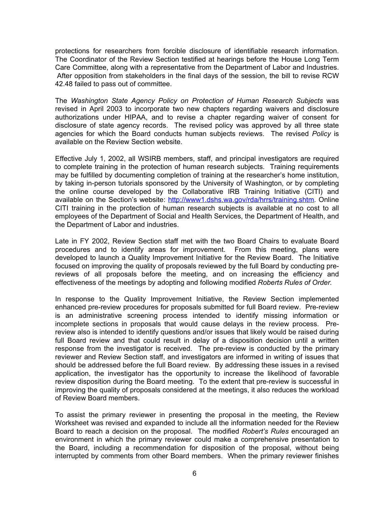protections for researchers from forcible disclosure of identifiable research information. The Coordinator of the Review Section testified at hearings before the House Long Term Care Committee, along with a representative from the Department of Labor and Industries. After opposition from stakeholders in the final days of the session, the bill to revise RCW 42.48 failed to pass out of committee.

The *Washington State Agency Policy on Protection of Human Research Subjects* was revised in April 2003 to incorporate two new chapters regarding waivers and disclosure authorizations under HIPAA, and to revise a chapter regarding waiver of consent for disclosure of state agency records. The revised policy was approved by all three state agencies for which the Board conducts human subjects reviews. The revised *Policy* is available on the Review Section website.

Effective July 1, 2002, all WSIRB members, staff, and principal investigators are required to complete training in the protection of human research subjects. Training requirements may be fulfilled by documenting completion of training at the researcher's home institution, by taking in-person tutorials sponsored by the University of Washington, or by completing the online course developed by the Collaborative IRB Training Initiative (CITI) and available on the Section's website: [http://www1.dshs.wa.gov/rda/hrrs/training.shtm.](http://www1.dshs.wa.gov/rda/hrrs/training.shtm) Online CITI training in the protection of human research subjects is available at no cost to all employees of the Department of Social and Health Services, the Department of Health, and the Department of Labor and industries.

Late in FY 2002, Review Section staff met with the two Board Chairs to evaluate Board procedures and to identify areas for improvement. From this meeting, plans were developed to launch a Quality Improvement Initiative for the Review Board. The Initiative focused on improving the quality of proposals reviewed by the full Board by conducting prereviews of all proposals before the meeting, and on increasing the efficiency and effectiveness of the meetings by adopting and following modified *Roberts Rules of Order.*

In response to the Quality Improvement Initiative, the Review Section implemented enhanced pre-review procedures for proposals submitted for full Board review. Pre-review is an administrative screening process intended to identify missing information or incomplete sections in proposals that would cause delays in the review process. Prereview also is intended to identify questions and/or issues that likely would be raised during full Board review and that could result in delay of a disposition decision until a written response from the investigator is received. The pre-review is conducted by the primary reviewer and Review Section staff, and investigators are informed in writing of issues that should be addressed before the full Board review. By addressing these issues in a revised application, the investigator has the opportunity to increase the likelihood of favorable review disposition during the Board meeting. To the extent that pre-review is successful in improving the quality of proposals considered at the meetings, it also reduces the workload of Review Board members.

To assist the primary reviewer in presenting the proposal in the meeting, the Review Worksheet was revised and expanded to include all the information needed for the Review Board to reach a decision on the proposal. The modified *Robert's Rules* encouraged an environment in which the primary reviewer could make a comprehensive presentation to the Board, including a recommendation for disposition of the proposal, without being interrupted by comments from other Board members. When the primary reviewer finishes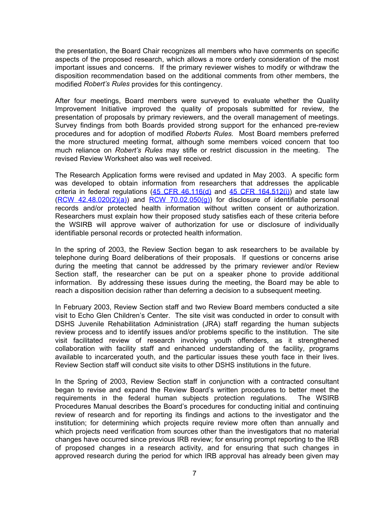the presentation, the Board Chair recognizes all members who have comments on specific aspects of the proposed research, which allows a more orderly consideration of the most important issues and concerns. If the primary reviewer wishes to modify or withdraw the disposition recommendation based on the additional comments from other members, the modified *Robert's Rules* provides for this contingency.

After four meetings, Board members were surveyed to evaluate whether the Quality Improvement Initiative improved the quality of proposals submitted for review, the presentation of proposals by primary reviewers, and the overall management of meetings. Survey findings from both Boards provided strong support for the enhanced pre-review procedures and for adoption of modified *Roberts Rules.* Most Board members preferred the more structured meeting format, although some members voiced concern that too much reliance on *Robert's Rules* may stifle or restrict discussion in the meeting. The revised Review Worksheet also was well received.

The Research Application forms were revised and updated in May 2003. A specific form was developed to obtain information from researchers that addresses the applicable criteria in federal regulations  $(45$  CFR  $46.116(d)$  and  $45$  CFR  $164.512(i)$ ) and state law  $(RCW$  42.48.020(2)(a)) and  $RCW$  70.02.050(g)) for disclosure of identifiable personal records and/or protected health information without written consent or authorization. Researchers must explain how their proposed study satisfies each of these criteria before the WSIRB will approve waiver of authorization for use or disclosure of individually identifiable personal records or protected health information.

In the spring of 2003, the Review Section began to ask researchers to be available by telephone during Board deliberations of their proposals. If questions or concerns arise during the meeting that cannot be addressed by the primary reviewer and/or Review Section staff, the researcher can be put on a speaker phone to provide additional information. By addressing these issues during the meeting, the Board may be able to reach a disposition decision rather than deferring a decision to a subsequent meeting.

In February 2003, Review Section staff and two Review Board members conducted a site visit to Echo Glen Children's Center. The site visit was conducted in order to consult with DSHS Juvenile Rehabilitation Administration (JRA) staff regarding the human subjects review process and to identify issues and/or problems specific to the institution. The site visit facilitated review of research involving youth offenders, as it strengthened collaboration with facility staff and enhanced understanding of the facility, programs available to incarcerated youth, and the particular issues these youth face in their lives. Review Section staff will conduct site visits to other DSHS institutions in the future.

In the Spring of 2003, Review Section staff in conjunction with a contracted consultant began to revise and expand the Review Board's written procedures to better meet the requirements in the federal human subjects protection regulations. The WSIRB Procedures Manual describes the Board's procedures for conducting initial and continuing review of research and for reporting its findings and actions to the investigator and the institution; for determining which projects require review more often than annually and which projects need verification from sources other than the investigators that no material changes have occurred since previous IRB review; for ensuring prompt reporting to the IRB of proposed changes in a research activity, and for ensuring that such changes in approved research during the period for which IRB approval has already been given may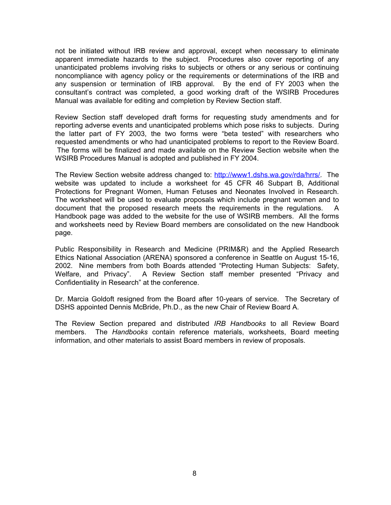not be initiated without IRB review and approval, except when necessary to eliminate apparent immediate hazards to the subject. Procedures also cover reporting of any unanticipated problems involving risks to subjects or others or any serious or continuing noncompliance with agency policy or the requirements or determinations of the IRB and any suspension or termination of IRB approval. By the end of FY 2003 when the consultant's contract was completed, a good working draft of the WSIRB Procedures Manual was available for editing and completion by Review Section staff.

Review Section staff developed draft forms for requesting study amendments and for reporting adverse events and unanticipated problems which pose risks to subjects. During the latter part of FY 2003, the two forms were "beta tested" with researchers who requested amendments or who had unanticipated problems to report to the Review Board. The forms will be finalized and made available on the Review Section website when the WSIRB Procedures Manual is adopted and published in FY 2004.

The Review Section website address changed to: [http://www1.dshs.wa.gov/rda/hrrs/.](http://www1.dshs.wa.gov/rda/hrrs/) The website was updated to include a worksheet for 45 CFR 46 Subpart B, Additional Protections for Pregnant Women, Human Fetuses and Neonates Involved in Research. The worksheet will be used to evaluate proposals which include pregnant women and to document that the proposed research meets the requirements in the regulations. A Handbook page was added to the website for the use of WSIRB members. All the forms and worksheets need by Review Board members are consolidated on the new Handbook page.

Public Responsibility in Research and Medicine (PRIM&R) and the Applied Research Ethics National Association (ARENA) sponsored a conference in Seattle on August 15-16, 2002. Nine members from both Boards attended "Protecting Human Subjects: Safety, Welfare, and Privacy". A Review Section staff member presented "Privacy and Confidentiality in Research" at the conference.

Dr. Marcia Goldoft resigned from the Board after 10-years of service. The Secretary of DSHS appointed Dennis McBride, Ph.D., as the new Chair of Review Board A.

The Review Section prepared and distributed *IRB Handbooks* to all Review Board members. The *Handbooks* contain reference materials, worksheets, Board meeting information, and other materials to assist Board members in review of proposals.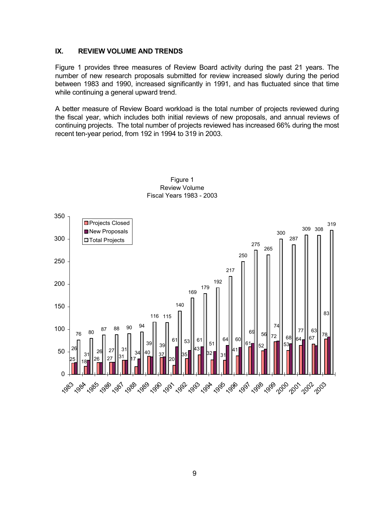#### **IX. REVIEW VOLUME AND TRENDS**

Figure 1 provides three measures of Review Board activity during the past 21 years. The number of new research proposals submitted for review increased slowly during the period between 1983 and 1990, increased significantly in 1991, and has fluctuated since that time while continuing a general upward trend.

A better measure of Review Board workload is the total number of projects reviewed during the fiscal year, which includes both initial reviews of new proposals, and annual reviews of continuing projects. The total number of projects reviewed has increased 66% during the most recent ten-year period, from 192 in 1994 to 319 in 2003.



Figure 1 Review Volume Fiscal Years 1983 - 2003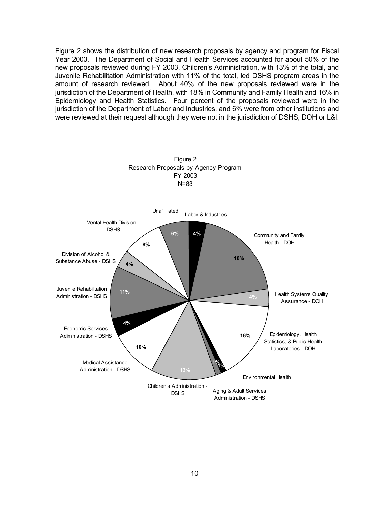Figure 2 shows the distribution of new research proposals by agency and program for Fiscal Year 2003. The Department of Social and Health Services accounted for about 50% of the new proposals reviewed during FY 2003. Children's Administration, with 13% of the total, and Juvenile Rehabilitation Administration with 11% of the total, led DSHS program areas in the amount of research reviewed. About 40% of the new proposals reviewed were in the jurisdiction of the Department of Health, with 18% in Community and Family Health and 16% in Epidemiology and Health Statistics. Four percent of the proposals reviewed were in the jurisdiction of the Department of Labor and Industries, and 6% were from other institutions and were reviewed at their request although they were not in the jurisdiction of DSHS, DOH or L&I.



10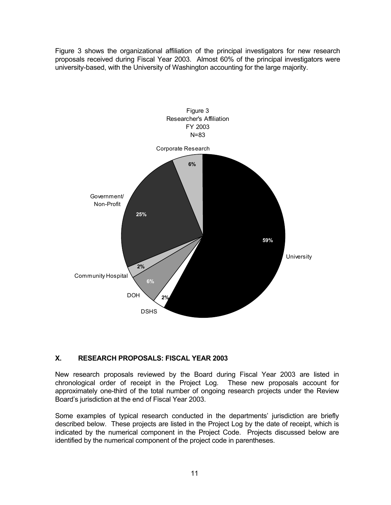Figure 3 shows the organizational affiliation of the principal investigators for new research proposals received during Fiscal Year 2003. Almost 60% of the principal investigators were university-based, with the University of Washington accounting for the large majority.



#### **X. RESEARCH PROPOSALS: FISCAL YEAR 2003**

New research proposals reviewed by the Board during Fiscal Year 2003 are listed in chronological order of receipt in the Project Log. These new proposals account for approximately one-third of the total number of ongoing research projects under the Review Board's jurisdiction at the end of Fiscal Year 2003.

Some examples of typical research conducted in the departments' jurisdiction are briefly described below. These projects are listed in the Project Log by the date of receipt, which is indicated by the numerical component in the Project Code. Projects discussed below are identified by the numerical component of the project code in parentheses.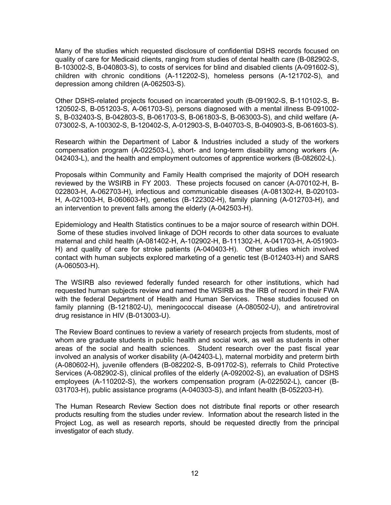Many of the studies which requested disclosure of confidential DSHS records focused on quality of care for Medicaid clients, ranging from studies of dental health care (B-082902-S, B-103002-S, B-040803-S), to costs of services for blind and disabled clients (A-091602-S), children with chronic conditions (A-112202-S), homeless persons (A-121702-S), and depression among children (A-062503-S).

Other DSHS-related projects focused on incarcerated youth (B-091902-S, B-110102-S, B-120502-S, B-051203-S, A-061703-S), persons diagnosed with a mental illness B-091002- S, B-032403-S, B-042803-S, B-061703-S, B-061803-S, B-063003-S), and child welfare (A-073002-S, A-100302-S, B-120402-S, A-012903-S, B-040703-S, B-040903-S, B-061603-S).

Research within the Department of Labor & Industries included a study of the workers compensation program (A-022503-L), short- and long-term disability among workers (A-042403-L), and the health and employment outcomes of apprentice workers (B-082602-L).

Proposals within Community and Family Health comprised the majority of DOH research reviewed by the WSIRB in FY 2003. These projects focused on cancer (A-070102-H, B-022803-H, A-062703-H), infectious and communicable diseases (A-081302-H, B-020103- H, A-021003-H, B-060603-H), genetics (B-122302-H), family planning (A-012703-H), and an intervention to prevent falls among the elderly (A-042503-H).

Epidemiology and Health Statistics continues to be a major source of research within DOH. Some of these studies involved linkage of DOH records to other data sources to evaluate maternal and child health (A-081402-H, A-102902-H, B-111302-H, A-041703-H, A-051903- H) and quality of care for stroke patients (A-040403-H). Other studies which involved contact with human subjects explored marketing of a genetic test (B-012403-H) and SARS (A-060503-H).

The WSIRB also reviewed federally funded research for other institutions, which had requested human subjects review and named the WSIRB as the IRB of record in their FWA with the federal Department of Health and Human Services. These studies focused on family planning (B-121802-U), meningococcal disease (A-080502-U), and antiretroviral drug resistance in HIV (B-013003-U).

The Review Board continues to review a variety of research projects from students, most of whom are graduate students in public health and social work, as well as students in other areas of the social and health sciences. Student research over the past fiscal year involved an analysis of worker disability (A-042403-L), maternal morbidity and preterm birth (A-080602-H), juvenile offenders (B-082202-S, B-091702-S), referrals to Child Protective Services (A-082902-S), clinical profiles of the elderly (A-092002-S), an evaluation of DSHS employees (A-110202-S), the workers compensation program (A-022502-L), cancer (B-031703-H), public assistance programs (A-040303-S), and infant health (B-052203-H).

The Human Research Review Section does not distribute final reports or other research products resulting from the studies under review. Information about the research listed in the Project Log, as well as research reports, should be requested directly from the principal investigator of each study.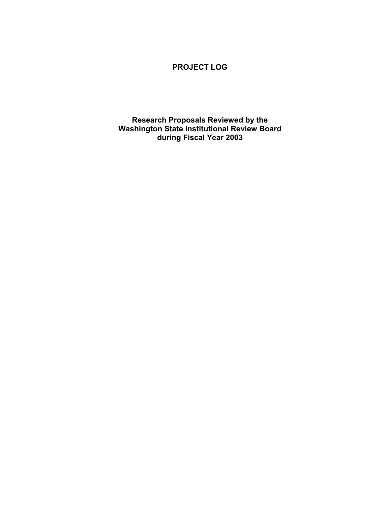### **PROJECT LOG**

**Research Proposals Reviewed by the Washington State Institutional Review Board during Fiscal Year 2003**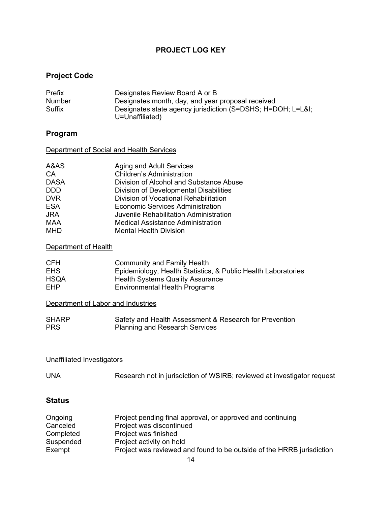### **PROJECT LOG KEY**

# **Project Code**

| Prefix | Designates Review Board A or B                                                |
|--------|-------------------------------------------------------------------------------|
| Number | Designates month, day, and year proposal received                             |
| Suffix | Designates state agency jurisdiction (S=DSHS; H=DOH; L=L&I<br>U=Unaffiliated) |

# **Program**

| Department of Social and Health Services |  |
|------------------------------------------|--|
|------------------------------------------|--|

| A&AS        | Aging and Adult Services                 |
|-------------|------------------------------------------|
| CA          | <b>Children's Administration</b>         |
| <b>DASA</b> | Division of Alcohol and Substance Abuse  |
| <b>DDD</b>  | Division of Developmental Disabilities   |
| <b>DVR</b>  | Division of Vocational Rehabilitation    |
| <b>ESA</b>  | Economic Services Administration         |
| <b>JRA</b>  | Juvenile Rehabilitation Administration   |
| <b>MAA</b>  | <b>Medical Assistance Administration</b> |
| <b>MHD</b>  | <b>Mental Health Division</b>            |
|             |                                          |

### Department of Health

| CFH         | Community and Family Health                                   |
|-------------|---------------------------------------------------------------|
| <b>EHS</b>  | Epidemiology, Health Statistics, & Public Health Laboratories |
| <b>HSQA</b> | <b>Health Systems Quality Assurance</b>                       |
| EHP         | Environmental Health Programs                                 |

### Department of Labor and Industries

| <b>SHARP</b> | Safety and Health Assessment & Research for Prevention |
|--------------|--------------------------------------------------------|
| <b>PRS</b>   | <b>Planning and Research Services</b>                  |

### Unaffiliated Investigators

| <b>UNA</b> |  | Research not in jurisdiction of WSIRB; reviewed at investigator request |  |
|------------|--|-------------------------------------------------------------------------|--|
|------------|--|-------------------------------------------------------------------------|--|

### **Status**

| Ongoing   | Project pending final approval, or approved and continuing            |
|-----------|-----------------------------------------------------------------------|
| Canceled  | Project was discontinued                                              |
| Completed | Project was finished                                                  |
| Suspended | Project activity on hold                                              |
| Exempt    | Project was reviewed and found to be outside of the HRRB jurisdiction |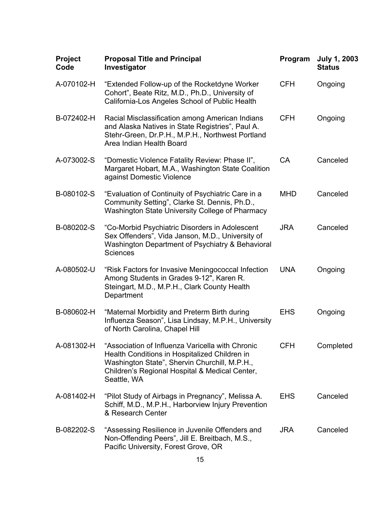| Project<br>Code | <b>Proposal Title and Principal</b><br>Investigator                                                                                                                                                                 | Program    | <b>July 1, 2003</b><br><b>Status</b> |
|-----------------|---------------------------------------------------------------------------------------------------------------------------------------------------------------------------------------------------------------------|------------|--------------------------------------|
| A-070102-H      | "Extended Follow-up of the Rocketdyne Worker<br>Cohort", Beate Ritz, M.D., Ph.D., University of<br>California-Los Angeles School of Public Health                                                                   | <b>CFH</b> | Ongoing                              |
| B-072402-H      | Racial Misclassification among American Indians<br>and Alaska Natives in State Registries", Paul A.<br>Stehr-Green, Dr.P.H., M.P.H., Northwest Portland<br>Area Indian Health Board                                 | <b>CFH</b> | Ongoing                              |
| A-073002-S      | "Domestic Violence Fatality Review: Phase II",<br>Margaret Hobart, M.A., Washington State Coalition<br>against Domestic Violence                                                                                    | <b>CA</b>  | Canceled                             |
| B-080102-S      | "Evaluation of Continuity of Psychiatric Care in a<br>Community Setting", Clarke St. Dennis, Ph.D.,<br>Washington State University College of Pharmacy                                                              | <b>MHD</b> | Canceled                             |
| B-080202-S      | "Co-Morbid Psychiatric Disorders in Adolescent<br>Sex Offenders", Vida Janson, M.D., University of<br>Washington Department of Psychiatry & Behavioral<br><b>Sciences</b>                                           | <b>JRA</b> | Canceled                             |
| A-080502-U      | "Risk Factors for Invasive Meningococcal Infection<br>Among Students in Grades 9-12", Karen R.<br>Steingart, M.D., M.P.H., Clark County Health<br>Department                                                        | <b>UNA</b> | Ongoing                              |
| B-080602-H      | "Maternal Morbidity and Preterm Birth during<br>Influenza Season", Lisa Lindsay, M.P.H., University<br>of North Carolina, Chapel Hill                                                                               | <b>EHS</b> | Ongoing                              |
| A-081302-H      | "Association of Influenza Varicella with Chronic<br>Health Conditions in Hospitalized Children in<br>Washington State", Shervin Churchill, M.P.H.,<br>Children's Regional Hospital & Medical Center,<br>Seattle, WA | <b>CFH</b> | Completed                            |
| A-081402-H      | "Pilot Study of Airbags in Pregnancy", Melissa A.<br>Schiff, M.D., M.P.H., Harborview Injury Prevention<br>& Research Center                                                                                        | <b>EHS</b> | Canceled                             |
| B-082202-S      | "Assessing Resilience in Juvenile Offenders and<br>Non-Offending Peers", Jill E. Breitbach, M.S.,<br>Pacific University, Forest Grove, OR                                                                           | <b>JRA</b> | Canceled                             |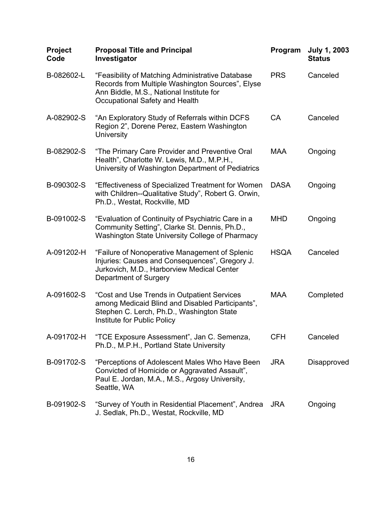| Project<br>Code | <b>Proposal Title and Principal</b><br>Investigator                                                                                                                                | Program     | <b>July 1, 2003</b><br><b>Status</b> |
|-----------------|------------------------------------------------------------------------------------------------------------------------------------------------------------------------------------|-------------|--------------------------------------|
| B-082602-L      | "Feasibility of Matching Administrative Database<br>Records from Multiple Washington Sources", Elyse<br>Ann Biddle, M.S., National Institute for<br>Occupational Safety and Health | <b>PRS</b>  | Canceled                             |
| A-082902-S      | "An Exploratory Study of Referrals within DCFS<br>Region 2", Dorene Perez, Eastern Washington<br><b>University</b>                                                                 | <b>CA</b>   | Canceled                             |
| B-082902-S      | "The Primary Care Provider and Preventive Oral<br>Health", Charlotte W. Lewis, M.D., M.P.H.,<br>University of Washington Department of Pediatrics                                  | <b>MAA</b>  | Ongoing                              |
| B-090302-S      | "Effectiveness of Specialized Treatment for Women<br>with Children--Qualitative Study", Robert G. Orwin,<br>Ph.D., Westat, Rockville, MD                                           | <b>DASA</b> | Ongoing                              |
| B-091002-S      | "Evaluation of Continuity of Psychiatric Care in a<br>Community Setting", Clarke St. Dennis, Ph.D.,<br>Washington State University College of Pharmacy                             | <b>MHD</b>  | Ongoing                              |
| A-091202-H      | "Failure of Nonoperative Management of Splenic<br>Injuries: Causes and Consequences", Gregory J.<br>Jurkovich, M.D., Harborview Medical Center<br>Department of Surgery            | <b>HSQA</b> | Canceled                             |
| A-091602-S      | "Cost and Use Trends in Outpatient Services<br>among Medicaid Blind and Disabled Participants",<br>Stephen C. Lerch, Ph.D., Washington State<br>Institute for Public Policy        | <b>MAA</b>  | Completed                            |
| A-091702-H      | "TCE Exposure Assessment", Jan C. Semenza,<br>Ph.D., M.P.H., Portland State University                                                                                             | <b>CFH</b>  | Canceled                             |
| B-091702-S      | "Perceptions of Adolescent Males Who Have Been<br>Convicted of Homicide or Aggravated Assault",<br>Paul E. Jordan, M.A., M.S., Argosy University,<br>Seattle, WA                   | <b>JRA</b>  | Disapproved                          |
| B-091902-S      | "Survey of Youth in Residential Placement", Andrea<br>J. Sedlak, Ph.D., Westat, Rockville, MD                                                                                      | <b>JRA</b>  | Ongoing                              |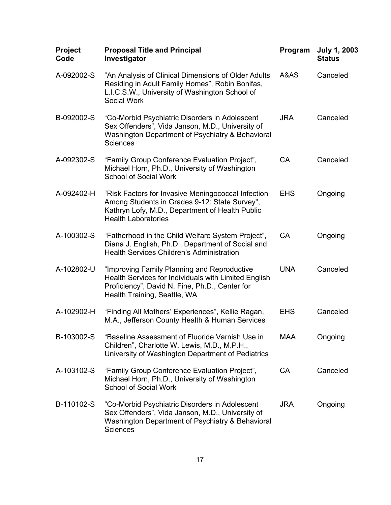| <b>Project</b><br>Code | <b>Proposal Title and Principal</b><br>Investigator                                                                                                                                   | Program    | <b>July 1, 2003</b><br><b>Status</b> |
|------------------------|---------------------------------------------------------------------------------------------------------------------------------------------------------------------------------------|------------|--------------------------------------|
| A-092002-S             | "An Analysis of Clinical Dimensions of Older Adults<br>Residing in Adult Family Homes", Robin Bonifas,<br>L.I.C.S.W., University of Washington School of<br>Social Work               | A&AS       | Canceled                             |
| B-092002-S             | "Co-Morbid Psychiatric Disorders in Adolescent<br>Sex Offenders", Vida Janson, M.D., University of<br>Washington Department of Psychiatry & Behavioral<br><b>Sciences</b>             | <b>JRA</b> | Canceled                             |
| A-092302-S             | "Family Group Conference Evaluation Project",<br>Michael Horn, Ph.D., University of Washington<br><b>School of Social Work</b>                                                        | <b>CA</b>  | Canceled                             |
| A-092402-H             | "Risk Factors for Invasive Meningococcal Infection<br>Among Students in Grades 9-12: State Survey",<br>Kathryn Lofy, M.D., Department of Health Public<br><b>Health Laboratories</b>  | <b>EHS</b> | Ongoing                              |
| A-100302-S             | "Fatherhood in the Child Welfare System Project",<br>Diana J. English, Ph.D., Department of Social and<br><b>Health Services Children's Administration</b>                            | <b>CA</b>  | Ongoing                              |
| A-102802-U             | "Improving Family Planning and Reproductive<br>Health Services for Individuals with Limited English<br>Proficiency", David N. Fine, Ph.D., Center for<br>Health Training, Seattle, WA | <b>UNA</b> | Canceled                             |
| A-102902-H             | "Finding All Mothers' Experiences", Kellie Ragan,<br>M.A., Jefferson County Health & Human Services                                                                                   | <b>EHS</b> | Canceled                             |
| B-103002-S             | "Baseline Assessment of Fluoride Varnish Use in<br>Children", Charlotte W. Lewis, M.D., M.P.H.,<br>University of Washington Department of Pediatrics                                  | <b>MAA</b> | Ongoing                              |
| A-103102-S             | "Family Group Conference Evaluation Project",<br>Michael Horn, Ph.D., University of Washington<br><b>School of Social Work</b>                                                        | <b>CA</b>  | Canceled                             |
| B-110102-S             | "Co-Morbid Psychiatric Disorders in Adolescent<br>Sex Offenders", Vida Janson, M.D., University of<br>Washington Department of Psychiatry & Behavioral<br><b>Sciences</b>             | <b>JRA</b> | Ongoing                              |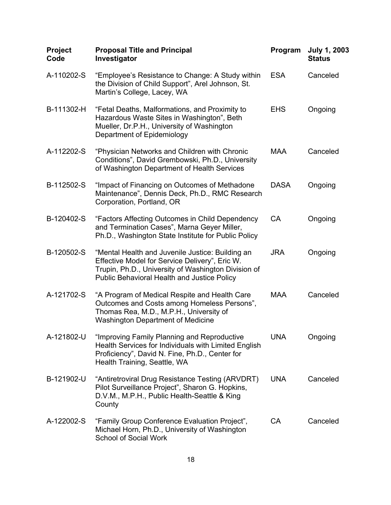| Project<br>Code | <b>Proposal Title and Principal</b><br>Investigator                                                                                                                                                             | Program     | <b>July 1, 2003</b><br><b>Status</b> |
|-----------------|-----------------------------------------------------------------------------------------------------------------------------------------------------------------------------------------------------------------|-------------|--------------------------------------|
| A-110202-S      | "Employee's Resistance to Change: A Study within<br>the Division of Child Support", Arel Johnson, St.<br>Martin's College, Lacey, WA                                                                            | <b>ESA</b>  | Canceled                             |
| B-111302-H      | "Fetal Deaths, Malformations, and Proximity to<br>Hazardous Waste Sites in Washington", Beth<br>Mueller, Dr.P.H., University of Washington<br>Department of Epidemiology                                        | <b>EHS</b>  | Ongoing                              |
| A-112202-S      | "Physician Networks and Children with Chronic<br>Conditions", David Grembowski, Ph.D., University<br>of Washington Department of Health Services                                                                | <b>MAA</b>  | Canceled                             |
| B-112502-S      | "Impact of Financing on Outcomes of Methadone<br>Maintenance", Dennis Deck, Ph.D., RMC Research<br>Corporation, Portland, OR                                                                                    | <b>DASA</b> | Ongoing                              |
| B-120402-S      | "Factors Affecting Outcomes in Child Dependency<br>and Termination Cases", Marna Geyer Miller,<br>Ph.D., Washington State Institute for Public Policy                                                           | <b>CA</b>   | Ongoing                              |
| B-120502-S      | "Mental Health and Juvenile Justice: Building an<br>Effective Model for Service Delivery", Eric W.<br>Trupin, Ph.D., University of Washington Division of<br><b>Public Behavioral Health and Justice Policy</b> | <b>JRA</b>  | Ongoing                              |
| A-121702-S      | "A Program of Medical Respite and Health Care<br>Outcomes and Costs among Homeless Persons",<br>Thomas Rea, M.D., M.P.H., University of<br><b>Washington Department of Medicine</b>                             | <b>MAA</b>  | Canceled                             |
| A-121802-U      | "Improving Family Planning and Reproductive<br>Health Services for Individuals with Limited English<br>Proficiency", David N. Fine, Ph.D., Center for<br>Health Training, Seattle, WA                           | <b>UNA</b>  | Ongoing                              |
| B-121902-U      | "Antiretroviral Drug Resistance Testing (ARVDRT)<br>Pilot Surveillance Project", Sharon G. Hopkins,<br>D.V.M., M.P.H., Public Health-Seattle & King<br>County                                                   | <b>UNA</b>  | Canceled                             |
| A-122002-S      | "Family Group Conference Evaluation Project",<br>Michael Horn, Ph.D., University of Washington<br><b>School of Social Work</b>                                                                                  | CA          | Canceled                             |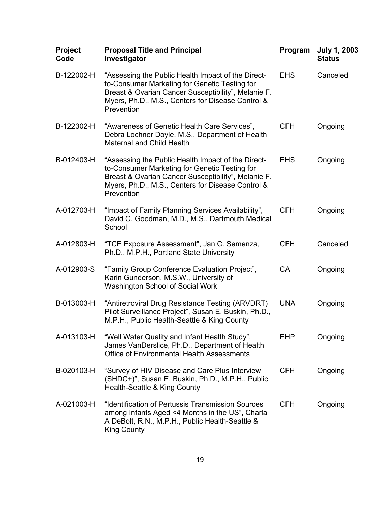| <b>Project</b><br>Code | <b>Proposal Title and Principal</b><br>Investigator                                                                                                                                                                           | Program    | <b>July 1, 2003</b><br><b>Status</b> |
|------------------------|-------------------------------------------------------------------------------------------------------------------------------------------------------------------------------------------------------------------------------|------------|--------------------------------------|
| B-122002-H             | "Assessing the Public Health Impact of the Direct-<br>to-Consumer Marketing for Genetic Testing for<br>Breast & Ovarian Cancer Susceptibility", Melanie F.<br>Myers, Ph.D., M.S., Centers for Disease Control &<br>Prevention | <b>EHS</b> | Canceled                             |
| B-122302-H             | "Awareness of Genetic Health Care Services",<br>Debra Lochner Doyle, M.S., Department of Health<br><b>Maternal and Child Health</b>                                                                                           | <b>CFH</b> | Ongoing                              |
| B-012403-H             | "Assessing the Public Health Impact of the Direct-<br>to-Consumer Marketing for Genetic Testing for<br>Breast & Ovarian Cancer Susceptibility", Melanie F.<br>Myers, Ph.D., M.S., Centers for Disease Control &<br>Prevention | <b>EHS</b> | Ongoing                              |
| A-012703-H             | "Impact of Family Planning Services Availability",<br>David C. Goodman, M.D., M.S., Dartmouth Medical<br>School                                                                                                               | <b>CFH</b> | Ongoing                              |
| A-012803-H             | "TCE Exposure Assessment", Jan C. Semenza,<br>Ph.D., M.P.H., Portland State University                                                                                                                                        | <b>CFH</b> | Canceled                             |
| A-012903-S             | "Family Group Conference Evaluation Project",<br>Karin Gunderson, M.S.W., University of<br><b>Washington School of Social Work</b>                                                                                            | <b>CA</b>  | Ongoing                              |
| B-013003-H             | "Antiretroviral Drug Resistance Testing (ARVDRT)<br>Pilot Surveillance Project", Susan E. Buskin, Ph.D.,<br>M.P.H., Public Health-Seattle & King County                                                                       | <b>UNA</b> | Ongoing                              |
| A-013103-H             | "Well Water Quality and Infant Health Study",<br>James VanDerslice, Ph.D., Department of Health<br>Office of Environmental Health Assessments                                                                                 | <b>EHP</b> | Ongoing                              |
| B-020103-H             | "Survey of HIV Disease and Care Plus Interview<br>(SHDC+)", Susan E. Buskin, Ph.D., M.P.H., Public<br>Health-Seattle & King County                                                                                            | <b>CFH</b> | Ongoing                              |
| A-021003-H             | "Identification of Pertussis Transmission Sources<br>among Infants Aged <4 Months in the US", Charla<br>A DeBolt, R.N., M.P.H., Public Health-Seattle &<br><b>King County</b>                                                 | <b>CFH</b> | Ongoing                              |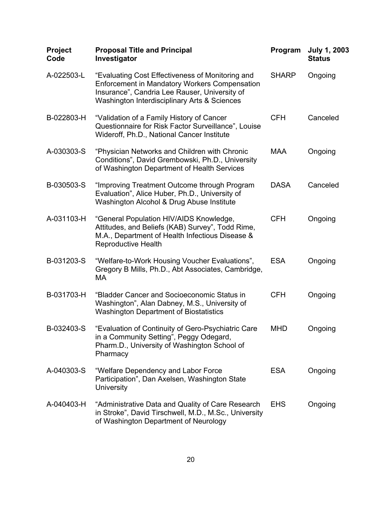| Project<br>Code | <b>Proposal Title and Principal</b><br>Investigator                                                                                                                                                       | Program      | <b>July 1, 2003</b><br><b>Status</b> |
|-----------------|-----------------------------------------------------------------------------------------------------------------------------------------------------------------------------------------------------------|--------------|--------------------------------------|
| A-022503-L      | "Evaluating Cost Effectiveness of Monitoring and<br><b>Enforcement in Mandatory Workers Compensation</b><br>Insurance", Candria Lee Rauser, University of<br>Washington Interdisciplinary Arts & Sciences | <b>SHARP</b> | Ongoing                              |
| B-022803-H      | "Validation of a Family History of Cancer<br>Questionnaire for Risk Factor Surveillance", Louise<br>Wideroff, Ph.D., National Cancer Institute                                                            | <b>CFH</b>   | Canceled                             |
| A-030303-S      | "Physician Networks and Children with Chronic<br>Conditions", David Grembowski, Ph.D., University<br>of Washington Department of Health Services                                                          | <b>MAA</b>   | Ongoing                              |
| B-030503-S      | "Improving Treatment Outcome through Program<br>Evaluation", Alice Huber, Ph.D., University of<br>Washington Alcohol & Drug Abuse Institute                                                               | <b>DASA</b>  | Canceled                             |
| A-031103-H      | "General Population HIV/AIDS Knowledge,<br>Attitudes, and Beliefs (KAB) Survey", Todd Rime,<br>M.A., Department of Health Infectious Disease &<br><b>Reproductive Health</b>                              | <b>CFH</b>   | Ongoing                              |
| B-031203-S      | "Welfare-to-Work Housing Voucher Evaluations",<br>Gregory B Mills, Ph.D., Abt Associates, Cambridge,<br>МA                                                                                                | <b>ESA</b>   | Ongoing                              |
| B-031703-H      | "Bladder Cancer and Socioeconomic Status in<br>Washington", Alan Dabney, M.S., University of<br><b>Washington Department of Biostatistics</b>                                                             | <b>CFH</b>   | Ongoing                              |
| B-032403-S      | "Evaluation of Continuity of Gero-Psychiatric Care<br>in a Community Setting", Peggy Odegard,<br>Pharm.D., University of Washington School of<br>Pharmacy                                                 | <b>MHD</b>   | Ongoing                              |
| A-040303-S      | "Welfare Dependency and Labor Force<br>Participation", Dan Axelsen, Washington State<br>University                                                                                                        | <b>ESA</b>   | Ongoing                              |
| A-040403-H      | "Administrative Data and Quality of Care Research<br>in Stroke", David Tirschwell, M.D., M.Sc., University<br>of Washington Department of Neurology                                                       | <b>EHS</b>   | Ongoing                              |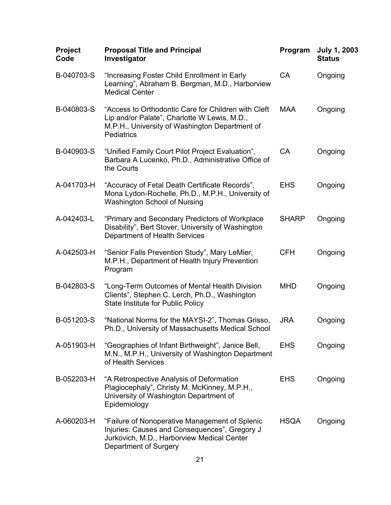| <b>Proposal Title and Principal</b><br>Investigator                                                                                                                        | Program      | <b>July 1, 2003</b><br><b>Status</b> |
|----------------------------------------------------------------------------------------------------------------------------------------------------------------------------|--------------|--------------------------------------|
| "Increasing Foster Child Enrollment in Early<br>Learning", Abraham B. Bergman, M.D., Harborview<br><b>Medical Center</b>                                                   | CA           | Ongoing                              |
| "Access to Orthodontic Care for Children with Cleft<br>Lip and/or Palate", Charlotte W Lewis, M.D.,<br>M.P.H., University of Washington Department of<br><b>Pediatrics</b> | <b>MAA</b>   | Ongoing                              |
| "Unified Family Court Pilot Project Evaluation",<br>Barbara A Lucenko, Ph.D., Administrative Office of<br>the Courts                                                       | <b>CA</b>    | Ongoing                              |
| "Accuracy of Fetal Death Certificate Records",<br>Mona Lydon-Rochelle, Ph.D., M.P.H., University of<br><b>Washington School of Nursing</b>                                 | <b>EHS</b>   | Ongoing                              |
| "Primary and Secondary Predictors of Workplace<br>Disability", Bert Stover, University of Washington<br>Department of Health Services                                      | <b>SHARP</b> | Ongoing                              |
| "Senior Falls Prevention Study", Mary LeMier,<br>M.P.H., Department of Health Injury Prevention<br>Program                                                                 | <b>CFH</b>   | Ongoing                              |
| "Long-Term Outcomes of Mental Health Division<br>Clients", Stephen C. Lerch, Ph.D., Washington<br><b>State Institute for Public Policy</b>                                 | <b>MHD</b>   | Ongoing                              |
| "National Norms for the MAYSI-2", Thomas Grisso,<br>Ph.D., University of Massachusetts Medical School                                                                      | <b>JRA</b>   | Ongoing                              |
| "Geographies of Infant Birthweight", Janice Bell,<br>M.N., M.P.H., University of Washington Department<br>of Health Services                                               | <b>EHS</b>   | Ongoing                              |
| "A Retrospective Analysis of Deformation<br>Plagiocephaly", Christy M. McKinney, M.P.H.,<br>University of Washington Department of<br>Epidemiology                         | <b>EHS</b>   | Ongoing                              |
| "Failure of Nonoperative Management of Splenic<br>Injuries: Causes and Consequences", Gregory J<br>Jurkovich, M.D., Harborview Medical Center<br>Department of Surgery     | <b>HSQA</b>  | Ongoing                              |
|                                                                                                                                                                            |              |                                      |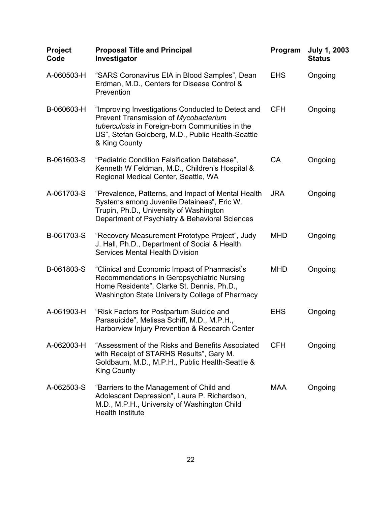| Project<br>Code | <b>Proposal Title and Principal</b><br>Investigator                                                                                                                                                                 | Program    | <b>July 1, 2003</b><br><b>Status</b> |
|-----------------|---------------------------------------------------------------------------------------------------------------------------------------------------------------------------------------------------------------------|------------|--------------------------------------|
| A-060503-H      | "SARS Coronavirus EIA in Blood Samples", Dean<br>Erdman, M.D., Centers for Disease Control &<br>Prevention                                                                                                          | <b>EHS</b> | Ongoing                              |
| B-060603-H      | "Improving Investigations Conducted to Detect and<br>Prevent Transmission of Mycobacterium<br>tuberculosis in Foreign-born Communities in the<br>US", Stefan Goldberg, M.D., Public Health-Seattle<br>& King County | <b>CFH</b> | Ongoing                              |
| B-061603-S      | "Pediatric Condition Falsification Database",<br>Kenneth W Feldman, M.D., Children's Hospital &<br>Regional Medical Center, Seattle, WA                                                                             | <b>CA</b>  | Ongoing                              |
| A-061703-S      | "Prevalence, Patterns, and Impact of Mental Health<br>Systems among Juvenile Detainees", Eric W.<br>Trupin, Ph.D., University of Washington<br>Department of Psychiatry & Behavioral Sciences                       | <b>JRA</b> | Ongoing                              |
| B-061703-S      | "Recovery Measurement Prototype Project", Judy<br>J. Hall, Ph.D., Department of Social & Health<br><b>Services Mental Health Division</b>                                                                           | <b>MHD</b> | Ongoing                              |
| B-061803-S      | "Clinical and Economic Impact of Pharmacist's<br>Recommendations in Geropsychiatric Nursing<br>Home Residents", Clarke St. Dennis, Ph.D.,<br>Washington State University College of Pharmacy                        | <b>MHD</b> | Ongoing                              |
| A-061903-H      | "Risk Factors for Postpartum Suicide and<br>Parasuicide", Melissa Schiff, M.D., M.P.H.,<br>Harborview Injury Prevention & Research Center                                                                           | <b>EHS</b> | Ongoing                              |
| A-062003-H      | "Assessment of the Risks and Benefits Associated<br>with Receipt of STARHS Results", Gary M.<br>Goldbaum, M.D., M.P.H., Public Health-Seattle &<br><b>King County</b>                                               | <b>CFH</b> | Ongoing                              |
| A-062503-S      | "Barriers to the Management of Child and<br>Adolescent Depression", Laura P. Richardson,<br>M.D., M.P.H., University of Washington Child<br><b>Health Institute</b>                                                 | <b>MAA</b> | Ongoing                              |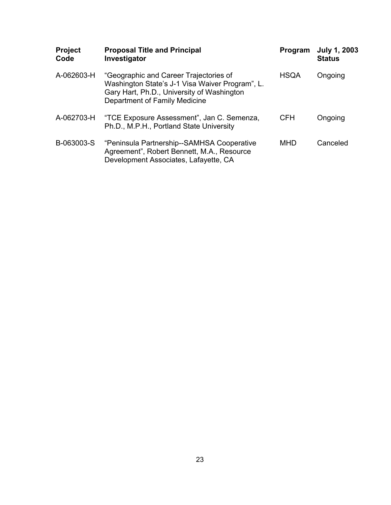| <b>Project</b><br>Code | <b>Proposal Title and Principal</b><br>Investigator                                                                                                                      | Program     | <b>July 1, 2003</b><br><b>Status</b> |
|------------------------|--------------------------------------------------------------------------------------------------------------------------------------------------------------------------|-------------|--------------------------------------|
| A-062603-H             | "Geographic and Career Trajectories of<br>Washington State's J-1 Visa Waiver Program", L.<br>Gary Hart, Ph.D., University of Washington<br>Department of Family Medicine | <b>HSQA</b> | Ongoing                              |
| A-062703-H             | "TCE Exposure Assessment", Jan C. Semenza,<br>Ph.D., M.P.H., Portland State University                                                                                   | <b>CFH</b>  | Ongoing                              |
| B-063003-S             | "Peninsula Partnership--SAMHSA Cooperative<br>Agreement", Robert Bennett, M.A., Resource<br>Development Associates, Lafayette, CA                                        | <b>MHD</b>  | Canceled                             |